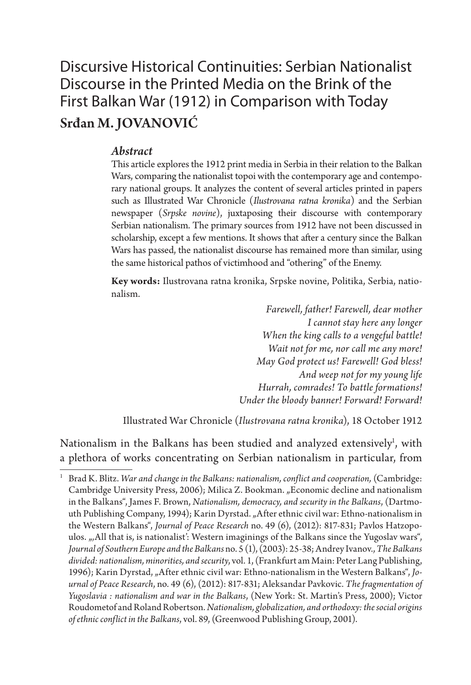# Discursive Historical Continuities: Serbian Nationalist Discourse in the Printed Media on the Brink of the First Balkan War (1912) in Comparison with Today Srđan M. JOVANOVIĆ

### *Abstract*

This article explores the 1912 print media in Serbia in their relation to the Balkan Wars, comparing the nationalist topoi with the contemporary age and contemporary national groups. It analyzes the content of several articles printed in papers such as Illustrated War Chronicle (*Ilustrovana ratna kronika*) and the Serbian newspaper (*Srpske novine*), juxtaposing their discourse with contemporary Serbian nationalism. The primary sources from 1912 have not been discussed in scholarship, except a few mentions. It shows that after a century since the Balkan Wars has passed, the nationalist discourse has remained more than similar, using the same historical pathos of victimhood and "othering" of the Enemy.

**Key words:** Ilustrovana ratna kronika, Srpske novine, Politika, Serbia, nationalism.

> *Farewell, father! Farewell, dear mother I cannot stay here any longer When the king calls to a vengeful battle! Wait not for me, nor call me any more! May God protect us! Farewell! God bless! And weep not for my young life Hurrah, comrades! To battle formations! Under the bloody banner! Forward! Forward!*

Illustrated War Chronicle (*Ilustrovana ratna kronika*), 18 October 1912

Nationalism in the Balkans has been studied and analyzed extensively<sup>1</sup>, with a plethora of works concentrating on Serbian nationalism in particular, from

<sup>&</sup>lt;sup>1</sup> Brad K. Blitz. *War and change in the Balkans: nationalism, conflict and cooperation, (Cambridge:* Cambridge University Press, 2006); Milica Z. Bookman. "Economic decline and nationalism in the Balkans", James F. Brown, *Nationalism, democracy, and security in the Balkans*, (Dartmouth Publishing Company, 1994); Karin Dyrstad. "After ethnic civil war: Ethno-nationalism in the Western Balkans", *Journal of Peace Research* no. 49 (6), (2012): 817-831; Pavlos Hatzopoulos. "All that is, is nationalist': Western imaginings of the Balkans since the Yugoslav wars", *Journal of Southern Europe and the Balkans* no. 5 (1), (2003): 25-38; Andrey Ivanov., *The Balkans divided: nationalism, minorities, and security*, vol. 1, (Frankfurt am Main: Peter Lang Publishing, 1996); Karin Dyrstad, "After ethnic civil war: Ethno-nationalism in the Western Balkans", *Journal of Peace Research*, no. 49 (6), (2012): 817-831; Aleksandar Pavkovic. *The fragmentation of Yugoslavia : nationalism and war in the Balkans*, (New York: St. Martin's Press, 2000); Victor Roudometof and Roland Robertson. *Nationalism, globalization, and orthodoxy: the social origins of ethnic conflict in the Balkans*, vol. 89, (Greenwood Publishing Group, 2001).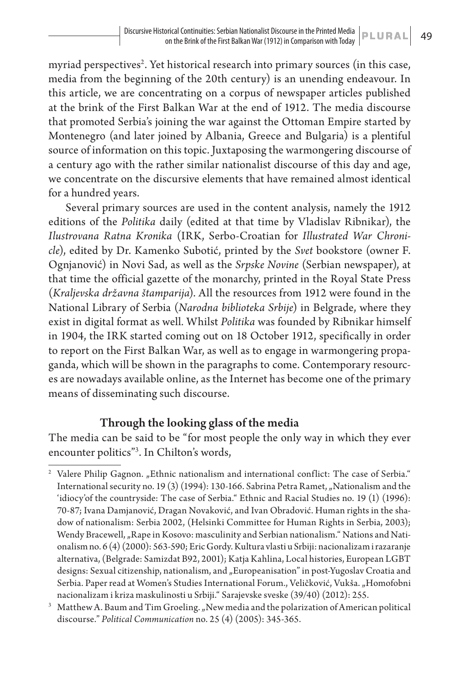myriad perspectives<sup>2</sup>. Yet historical research into primary sources (in this case, media from the beginning of the 20th century) is an unending endeavour. In this article, we are concentrating on a corpus of newspaper articles published at the brink of the First Balkan War at the end of 1912. The media discourse that promoted Serbia's joining the war against the Ottoman Empire started by Montenegro (and later joined by Albania, Greece and Bulgaria) is a plentiful source of information on this topic. Juxtaposing the warmongering discourse of a century ago with the rather similar nationalist discourse of this day and age, we concentrate on the discursive elements that have remained almost identical for a hundred years.

Several primary sources are used in the content analysis, namely the 1912 editions of the *Politika* daily (edited at that time by Vladislav Ribnikar), the *Ilustrovana Ratna Kronika* (IRK, Serbo-Croatian for *Illustrated War Chronicle*), edited by Dr. Kamenko Subotić, printed by the *Svet* bookstore (owner F. Ognjanović) in Novi Sad, as well as the *Srpske Novine* (Serbian newspaper), at that time the official gazette of the monarchy, printed in the Royal State Press (*Kraljevska državna štamparija*). All the resources from 1912 were found in the National Library of Serbia (*Narodna biblioteka Srbije*) in Belgrade, where they exist in digital format as well*.* Whilst *Politika* was founded by Ribnikar himself in 1904, the IRK started coming out on 18 October 1912, specifically in order to report on the First Balkan War, as well as to engage in warmongering propaganda, which will be shown in the paragraphs to come. Contemporary resources are nowadays available online, as the Internet has become one of the primary means of disseminating such discourse.

# Through the looking glass of the media

The media can be said to be "for most people the only way in which they ever encounter politics"3 . In Chilton's words,

<sup>&</sup>lt;sup>2</sup> Valere Philip Gagnon. "Ethnic nationalism and international conflict: The case of Serbia." International security no. 19 (3) (1994): 130-166. Sabrina Petra Ramet, "Nationalism and the 'idiocy'of the countryside: The case of Serbia." Ethnic and Racial Studies no. 19 (1) (1996): 70-87; Ivana Damjanović, Dragan Novaković, and Ivan Obradović. Human rights in the shadow of nationalism: Serbia 2002, (Helsinki Committee for Human Rights in Serbia, 2003); Wendy Bracewell, "Rape in Kosovo: masculinity and Serbian nationalism." Nations and Nationalism no. 6 (4) (2000): 563-590; Eric Gordy. Kultura vlasti u Srbiji: nacionalizam i razaranje alternativa, (Belgrade: Samizdat B92, 2001); Katja Kahlina, Local histories, European LGBT designs: Sexual citizenship, nationalism, and "Europeanisation" in post-Yugoslav Croatia and Serbia. Paper read at Women's Studies International Forum., Veličković, Vukša. "Homofobni nacionalizam i kriza maskulinosti u Srbiji." Sarajevske sveske (39/40) (2012): 255.

<sup>&</sup>lt;sup>3</sup> Matthew A. Baum and Tim Groeling. "New media and the polarization of American political discourse." *Political Communication* no. 25 (4) (2005): 345-365.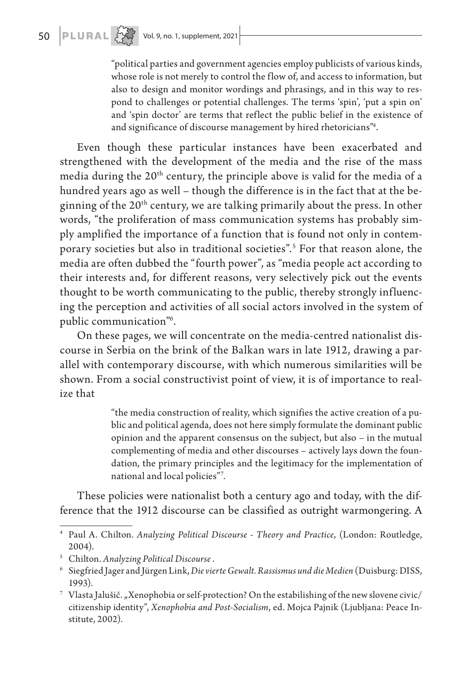"political parties and government agencies employ publicists of various kinds, whose role is not merely to control the flow of, and access to information, but also to design and monitor wordings and phrasings, and in this way to respond to challenges or potential challenges. The terms 'spin', 'put a spin on' and 'spin doctor' are terms that reflect the public belief in the existence of and significance of discourse management by hired rhetoricians"4 .

Even though these particular instances have been exacerbated and strengthened with the development of the media and the rise of the mass media during the 20<sup>th</sup> century, the principle above is valid for the media of a hundred years ago as well – though the difference is in the fact that at the beginning of the 20<sup>th</sup> century, we are talking primarily about the press. In other words, "the proliferation of mass communication systems has probably simply amplified the importance of a function that is found not only in contemporary societies but also in traditional societies".5 For that reason alone, the media are often dubbed the "fourth power", as "media people act according to their interests and, for different reasons, very selectively pick out the events thought to be worth communicating to the public, thereby strongly influencing the perception and activities of all social actors involved in the system of public communication"6 .

On these pages, we will concentrate on the media-centred nationalist discourse in Serbia on the brink of the Balkan wars in late 1912, drawing a parallel with contemporary discourse, with which numerous similarities will be shown. From a social constructivist point of view, it is of importance to realize that

> "the media construction of reality, which signifies the active creation of a public and political agenda, does not here simply formulate the dominant public opinion and the apparent consensus on the subject, but also – in the mutual complementing of media and other discourses – actively lays down the foundation, the primary principles and the legitimacy for the implementation of national and local policies"7 .

These policies were nationalist both a century ago and today, with the difference that the 1912 discourse can be classified as outright warmongering. A

<sup>4</sup> Paul A. Chilton. *Analyzing Political Discourse - Theory and Practice*, (London: Routledge, 2004).

<sup>5</sup> Chilton. *Analyzing Political Discourse* .

<sup>6</sup> Siegfried Jager and Jürgen Link, *Die vierte Gewalt. Rassismus und die Medien* (Duisburg: DISS, 1993).

 $^7$  Vlasta Jalušič. "Xenophobia or self-protection? On the estabilishing of the new slovene civic/ citizenship identity", *Xenophobia and Post-Socialism*, ed. Mojca Pajnik (Ljubljana: Peace Institute, 2002).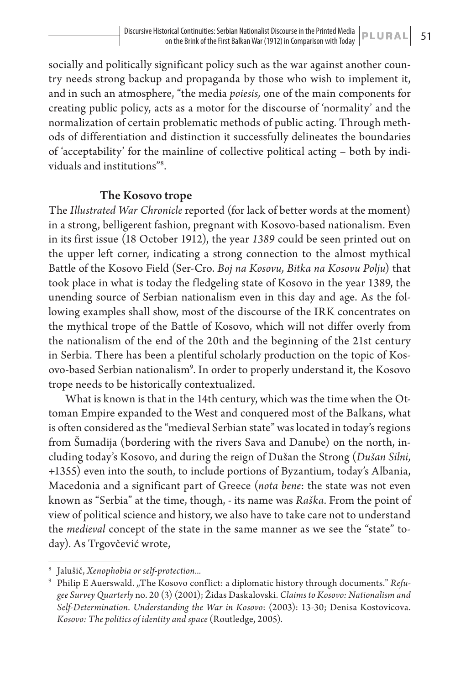socially and politically significant policy such as the war against another country needs strong backup and propaganda by those who wish to implement it, and in such an atmosphere, "the media *poiesis,* one of the main components for creating public policy, acts as a motor for the discourse of 'normality' and the normalization of certain problematic methods of public acting. Through methods of differentiation and distinction it successfully delineates the boundaries of 'acceptability' for the mainline of collective political acting – both by individuals and institutions"8 .

### The Kosovo trope

The *Illustrated War Chronicle* reported (for lack of better words at the moment) in a strong, belligerent fashion, pregnant with Kosovo-based nationalism. Even in its first issue (18 October 1912), the year *1389* could be seen printed out on the upper left corner, indicating a strong connection to the almost mythical Battle of the Kosovo Field (Ser-Cro. *Boj na Kosovu, Bitka na Kosovu Polju*) that took place in what is today the fledgeling state of Kosovo in the year 1389, the unending source of Serbian nationalism even in this day and age. As the following examples shall show, most of the discourse of the IRK concentrates on the mythical trope of the Battle of Kosovo, which will not differ overly from the nationalism of the end of the 20th and the beginning of the 21st century in Serbia. There has been a plentiful scholarly production on the topic of Kosovo-based Serbian nationalism9 . In order to properly understand it, the Kosovo trope needs to be historically contextualized.

What is known is that in the 14th century, which was the time when the Ottoman Empire expanded to the West and conquered most of the Balkans, what is often considered as the "medieval Serbian state" was located in today's regions from Šumadija (bordering with the rivers Sava and Danube) on the north, including today's Kosovo, and during the reign of Dušan the Strong (*Dušan Silni,*  +1355) even into the south, to include portions of Byzantium, today's Albania, Macedonia and a significant part of Greece (*nota bene*: the state was not even known as "Serbia" at the time, though, - its name was *Raška.* From the point of view of political science and history, we also have to take care not to understand the *medieval* concept of the state in the same manner as we see the "state" today). As Trgovčević wrote,

<sup>8</sup> Jalušič, *Xenophobia or self-protection...*

<sup>&</sup>lt;sup>9</sup> Philip E Auerswald. "The Kosovo conflict: a diplomatic history through documents." Refu*gee Survey Quarterly* no. 20 (3) (2001); Židas Daskalovski. *Claims to Kosovo: Nationalism and Self-Determination. Understanding the War in Kosovo*: (2003): 13-30; Denisa Kostovicova. *Kosovo: The politics of identity and space* (Routledge, 2005).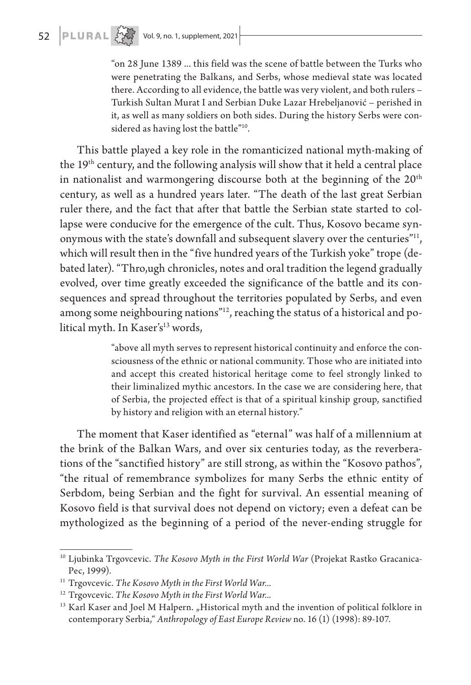"on 28 June 1389 ... this field was the scene of battle between the Turks who were penetrating the Balkans, and Serbs, whose medieval state was located there. According to all evidence, the battle was very violent, and both rulers – Turkish Sultan Murat I and Serbian Duke Lazar Hrebeljanović – perished in it, as well as many soldiers on both sides. During the history Serbs were considered as having lost the battle"<sup>10</sup>.

This battle played a key role in the romanticized national myth-making of the 19th century, and the following analysis will show that it held a central place in nationalist and warmongering discourse both at the beginning of the  $20<sup>th</sup>$ century, as well as a hundred years later. "The death of the last great Serbian ruler there, and the fact that after that battle the Serbian state started to collapse were conducive for the emergence of the cult. Thus, Kosovo became synonymous with the state's downfall and subsequent slavery over the centuries"<sup>11</sup>, which will result then in the "five hundred years of the Turkish yoke" trope (debated later). "Thro,ugh chronicles, notes and oral tradition the legend gradually evolved, over time greatly exceeded the significance of the battle and its consequences and spread throughout the territories populated by Serbs, and even among some neighbouring nations"<sup>12</sup>, reaching the status of a historical and political myth. In Kaser's<sup>13</sup> words,

> "above all myth serves to represent historical continuity and enforce the consciousness of the ethnic or national community. Those who are initiated into and accept this created historical heritage come to feel strongly linked to their liminalized mythic ancestors. In the case we are considering here, that of Serbia, the projected effect is that of a spiritual kinship group, sanctified by history and religion with an eternal history."

The moment that Kaser identified as "eternal" was half of a millennium at the brink of the Balkan Wars, and over six centuries today, as the reverberations of the "sanctified history" are still strong, as within the "Kosovo pathos", "the ritual of remembrance symbolizes for many Serbs the ethnic entity of Serbdom, being Serbian and the fight for survival. An essential meaning of Kosovo field is that survival does not depend on victory; even a defeat can be mythologized as the beginning of a period of the never-ending struggle for

<sup>10</sup> Ljubinka Trgovcevic. *The Kosovo Myth in the First World War* (Projekat Rastko Gracanica-Pec, 1999).

<sup>11</sup> Trgovcevic. *The Kosovo Myth in the First World War...*

<sup>12</sup> Trgovcevic. *The Kosovo Myth in the First World War...*

 $13$  Karl Kaser and Joel M Halpern. "Historical myth and the invention of political folklore in contemporary Serbia," *Anthropology of East Europe Review* no. 16 (1) (1998): 89-107.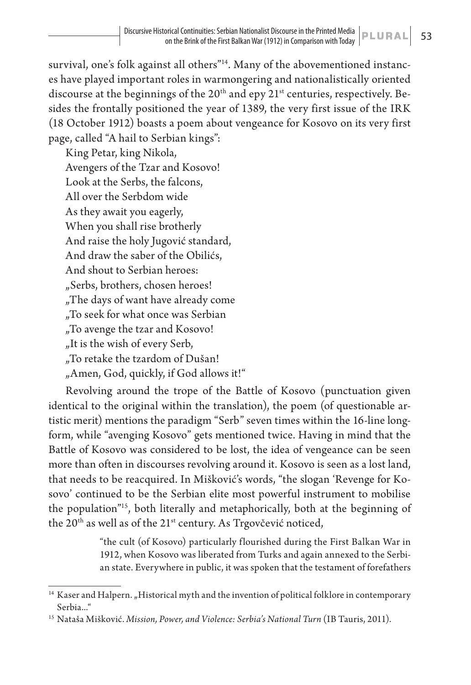survival, one's folk against all others"<sup>14</sup>. Many of the abovementioned instances have played important roles in warmongering and nationalistically oriented discourse at the beginnings of the  $20<sup>th</sup>$  and epy  $21<sup>st</sup>$  centuries, respectively. Besides the frontally positioned the year of 1389, the very first issue of the IRK (18 October 1912) boasts a poem about vengeance for Kosovo on its very first page, called "A hail to Serbian kings":

King Petar, king Nikola, Avengers of the Tzar and Kosovo! Look at the Serbs, the falcons, All over the Serbdom wide As they await you eagerly, When you shall rise brotherly And raise the holy Jugović standard, And draw the saber of the Obilićs, And shout to Serbian heroes: "Serbs, brothers, chosen heroes! "The days of want have already come "To seek for what once was Serbian "To avenge the tzar and Kosovo! "It is the wish of every Serb, "To retake the tzardom of Dušan! "Amen, God, quickly, if God allows it!"

Revolving around the trope of the Battle of Kosovo (punctuation given identical to the original within the translation), the poem (of questionable artistic merit) mentions the paradigm "Serb" seven times within the 16-line longform, while "avenging Kosovo" gets mentioned twice. Having in mind that the Battle of Kosovo was considered to be lost, the idea of vengeance can be seen more than often in discourses revolving around it. Kosovo is seen as a lost land, that needs to be reacquired. In Mišković's words, "the slogan 'Revenge for Kosovo' continued to be the Serbian elite most powerful instrument to mobilise the population"15, both literally and metaphorically, both at the beginning of the  $20<sup>th</sup>$  as well as of the  $21<sup>st</sup>$  century. As Trgovčević noticed,

> "the cult (of Kosovo) particularly flourished during the First Balkan War in 1912, when Kosovo was liberated from Turks and again annexed to the Serbian state. Everywhere in public, it was spoken that the testament of forefathers

<sup>&</sup>lt;sup>14</sup> Kaser and Halpern. "Historical myth and the invention of political folklore in contemporary Serbia..."

<sup>15</sup> Nataša Mišković. *Mission, Power, and Violence: Serbia's National Turn* (IB Tauris, 2011).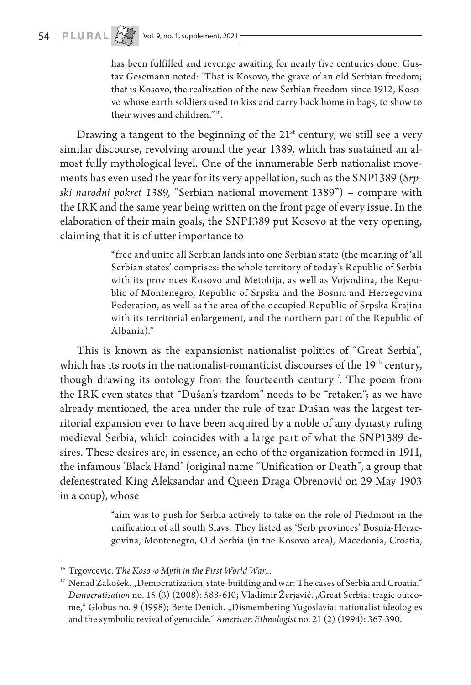has been fulfilled and revenge awaiting for nearly five centuries done. Gustav Gesemann noted: 'That is Kosovo, the grave of an old Serbian freedom; that is Kosovo, the realization of the new Serbian freedom since 1912, Kosovo whose earth soldiers used to kiss and carry back home in bags, to show to their wives and children."16.

Drawing a tangent to the beginning of the  $21<sup>st</sup>$  century, we still see a very similar discourse, revolving around the year 1389, which has sustained an almost fully mythological level. One of the innumerable Serb nationalist movements has even used the year for its very appellation, such as the SNP1389 (*Srpski narodni pokret 1389,* "Serbian national movement 1389") – compare with the IRK and the same year being written on the front page of every issue. In the elaboration of their main goals, the SNP1389 put Kosovo at the very opening, claiming that it is of utter importance to

> "free and unite all Serbian lands into one Serbian state (the meaning of 'all Serbian states' comprises: the whole territory of today's Republic of Serbia with its provinces Kosovo and Metohija, as well as Vojvodina, the Republic of Montenegro, Republic of Srpska and the Bosnia and Herzegovina Federation, as well as the area of the occupied Republic of Srpska Krajina with its territorial enlargement, and the northern part of the Republic of Albania)."

This is known as the expansionist nationalist politics of "Great Serbia", which has its roots in the nationalist-romanticist discourses of the  $19<sup>th</sup>$  century, though drawing its ontology from the fourteenth century<sup>17</sup>. The poem from the IRK even states that "Dušan's tzardom" needs to be "retaken"; as we have already mentioned, the area under the rule of tzar Dušan was the largest territorial expansion ever to have been acquired by a noble of any dynasty ruling medieval Serbia, which coincides with a large part of what the SNP1389 desires. These desires are, in essence, an echo of the organization formed in 1911, the infamous 'Black Hand' (original name "Unification or Death", a group that defenestrated King Aleksandar and Queen Draga Obrenović on 29 May 1903 in a coup), whose

> "aim was to push for Serbia actively to take on the role of Piedmont in the unification of all south Slavs. They listed as 'Serb provinces' Bosnia-Herzegovina, Montenegro, Old Serbia (in the Kosovo area), Macedonia, Croatia,

<sup>16</sup> Trgovcevic. *The Kosovo Myth in the First World War*...

<sup>&</sup>lt;sup>17</sup> Nenad Zakošek. "Democratization, state-building and war: The cases of Serbia and Croatia." *Democratisation* no. 15 (3) (2008): 588-610; Vladimir Žerjavić. "Great Serbia: tragic outcome," Globus no. 9 (1998); Bette Denich. "Dismembering Yugoslavia: nationalist ideologies and the symbolic revival of genocide." *American Ethnologist* no. 21 (2) (1994): 367-390.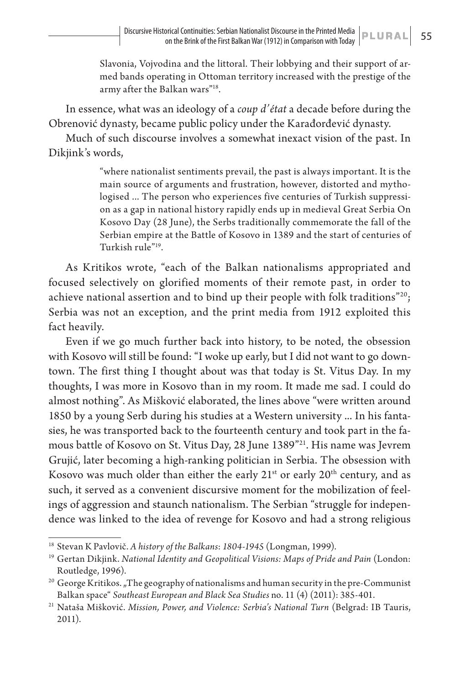Slavonia, Vojvodina and the littoral. Their lobbying and their support of armed bands operating in Ottoman territory increased with the prestige of the army after the Balkan wars"<sup>18</sup>.

In essence, what was an ideology of a *coup d'état* a decade before during the Obrenović dynasty, became public policy under the Karađorđević dynasty.

Much of such discourse involves a somewhat inexact vision of the past. In Dikjink's words,

> "where nationalist sentiments prevail, the past is always important. It is the main source of arguments and frustration, however, distorted and mythologised ... The person who experiences five centuries of Turkish suppression as a gap in national history rapidly ends up in medieval Great Serbia On Kosovo Day (28 June), the Serbs traditionally commemorate the fall of the Serbian empire at the Battle of Kosovo in 1389 and the start of centuries of Turkish rule"19.

As Kritikos wrote, "each of the Balkan nationalisms appropriated and focused selectively on glorified moments of their remote past, in order to achieve national assertion and to bind up their people with folk traditions"<sup>20</sup>; Serbia was not an exception, and the print media from 1912 exploited this fact heavily.

Even if we go much further back into history, to be noted, the obsession with Kosovo will still be found: "I woke up early, but I did not want to go downtown. The first thing I thought about was that today is St. Vitus Day. In my thoughts, I was more in Kosovo than in my room. It made me sad. I could do almost nothing". As Mišković elaborated, the lines above "were written around 1850 by a young Serb during his studies at a Western university ... In his fantasies, he was transported back to the fourteenth century and took part in the famous battle of Kosovo on St. Vitus Day, 28 June 1389"21. His name was Jevrem Grujić, later becoming a high-ranking politician in Serbia. The obsession with Kosovo was much older than either the early  $21^{st}$  or early  $20^{th}$  century, and as such, it served as a convenient discursive moment for the mobilization of feelings of aggression and staunch nationalism. The Serbian "struggle for independence was linked to the idea of revenge for Kosovo and had a strong religious

<sup>18</sup> Stevan K Pavlovič. *A history of the Balkans*: *1804-1945* (Longman, 1999).

<sup>19</sup> Gertan Dikjink. *National Identity and Geopolitical Visions: Maps of Pride and Pain* (London: Routledge, 1996).

 $20$  George Kritikos. "The geography of nationalisms and human security in the pre-Communist Balkan space" *Southeast European and Black Sea Studies* no. 11 (4) (2011): 385-401.

<sup>21</sup> Nataša Mišković. *Mission, Power, and Violence: Serbia's National Turn* (Belgrad: IB Tauris, 2011).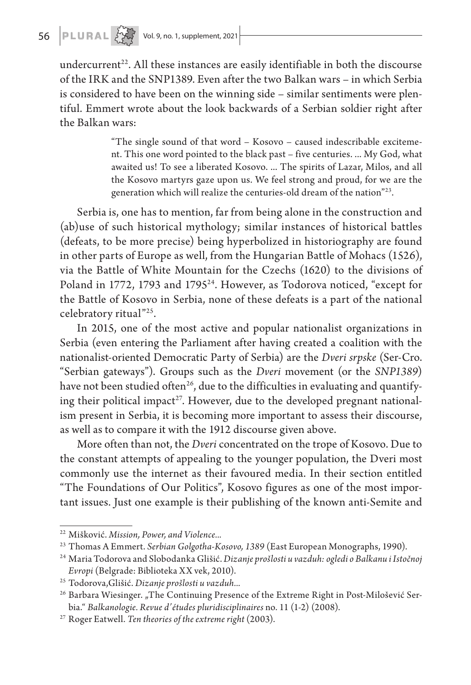# **56 PLURAL**  $\left\{\begin{matrix} 1 & 0 \\ 0 & 0 \end{matrix}\right\}$  Vol. 9, no. 1, supplement, 2021

undercurrent<sup>22</sup>. All these instances are easily identifiable in both the discourse of the IRK and the SNP1389. Even after the two Balkan wars – in which Serbia is considered to have been on the winning side – similar sentiments were plentiful. Emmert wrote about the look backwards of a Serbian soldier right after the Balkan wars:

> "The single sound of that word – Kosovo – caused indescribable excitement. This one word pointed to the black past – five centuries. ... My God, what awaited us! To see a liberated Kosovo. ... The spirits of Lazar, Milos, and all the Kosovo martyrs gaze upon us. We feel strong and proud, for we are the generation which will realize the centuries-old dream of the nation<sup>"23</sup>.

Serbia is, one has to mention, far from being alone in the construction and (ab)use of such historical mythology; similar instances of historical battles (defeats, to be more precise) being hyperbolized in historiography are found in other parts of Europe as well, from the Hungarian Battle of Mohacs (1526), via the Battle of White Mountain for the Czechs (1620) to the divisions of Poland in 1772, 1793 and 1795<sup>24</sup>. However, as Todorova noticed, "except for the Battle of Kosovo in Serbia, none of these defeats is a part of the national celebratory ritual"25.

In 2015, one of the most active and popular nationalist organizations in Serbia (even entering the Parliament after having created a coalition with the nationalist-oriented Democratic Party of Serbia) are the *Dveri srpske* (Ser-Cro. "Serbian gateways"). Groups such as the *Dveri* movement (or the *SNP1389*) have not been studied often<sup>26</sup>, due to the difficulties in evaluating and quantifying their political impact<sup>27</sup>. However, due to the developed pregnant nationalism present in Serbia, it is becoming more important to assess their discourse, as well as to compare it with the 1912 discourse given above.

More often than not, the *Dveri* concentrated on the trope of Kosovo. Due to the constant attempts of appealing to the younger population, the Dveri most commonly use the internet as their favoured media. In their section entitled "The Foundations of Our Politics", Kosovo figures as one of the most important issues. Just one example is their publishing of the known anti-Semite and

<sup>22</sup> Mišković. *Mission, Power, and Violence...*

<sup>23</sup> Thomas A Emmert. *Serbian Golgotha-Kosovo, 1389* (East European Monographs, 1990).

<sup>24</sup> Maria Todorova and Slobodanka Glišić. *Dizanje prošlosti u vazduh: ogledi o Balkanu i Istočnoj Evropi* (Belgrade: Biblioteka XX vek, 2010).

<sup>25</sup> Todorova,Glišić. *Dizanje prošlosti u vazduh...*

<sup>&</sup>lt;sup>26</sup> Barbara Wiesinger. "The Continuing Presence of the Extreme Right in Post-Milošević Serbia." *Balkanologie. Revue d'études pluridisciplinaires* no. 11 (1-2) (2008).

<sup>27</sup> Roger Eatwell. *Ten theories of the extreme right* (2003).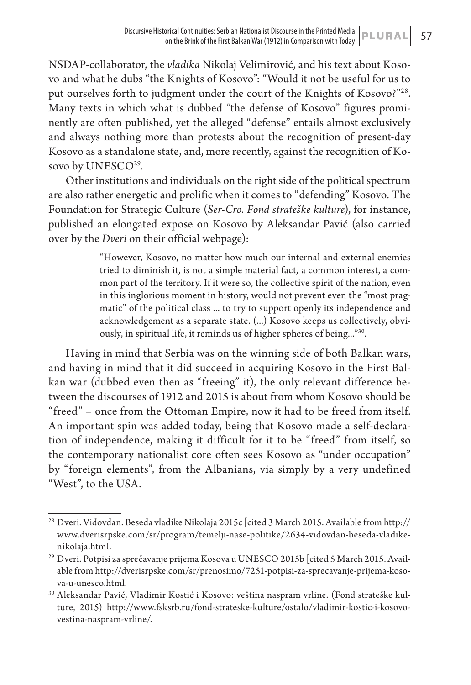NSDAP-collaborator, the *vladika* Nikolaj Velimirović, and his text about Kosovo and what he dubs "the Knights of Kosovo": "Would it not be useful for us to put ourselves forth to judgment under the court of the Knights of Kosovo?"28. Many texts in which what is dubbed "the defense of Kosovo" figures prominently are often published, yet the alleged "defense" entails almost exclusively and always nothing more than protests about the recognition of present-day Kosovo as a standalone state, and, more recently, against the recognition of Kosovo by UNESCO<sup>29</sup>.

Other institutions and individuals on the right side of the political spectrum are also rather energetic and prolific when it comes to "defending" Kosovo. The Foundation for Strategic Culture (*Ser-Cro. Fond strateške kulture*), for instance, published an elongated expose on Kosovo by Aleksandar Pavić (also carried over by the *Dveri* on their official webpage):

> "However, Kosovo, no matter how much our internal and external enemies tried to diminish it, is not a simple material fact, a common interest, a common part of the territory. If it were so, the collective spirit of the nation, even in this inglorious moment in history, would not prevent even the "most pragmatic" of the political class ... to try to support openly its independence and acknowledgement as a separate state. (...) Kosovo keeps us collectively, obviously, in spiritual life, it reminds us of higher spheres of being..."30.

Having in mind that Serbia was on the winning side of both Balkan wars, and having in mind that it did succeed in acquiring Kosovo in the First Balkan war (dubbed even then as "freeing" it), the only relevant difference between the discourses of 1912 and 2015 is about from whom Kosovo should be "freed" – once from the Ottoman Empire, now it had to be freed from itself. An important spin was added today, being that Kosovo made a self-declaration of independence, making it difficult for it to be "freed" from itself, so the contemporary nationalist core often sees Kosovo as "under occupation" by "foreign elements", from the Albanians, via simply by a very undefined "West", to the USA.

<sup>&</sup>lt;sup>28</sup> Dveri. Vidovdan. Beseda vladike Nikolaja 2015c [cited 3 March 2015. Available from http:// www.dverisrpske.com/sr/program/temelji-nase-politike/2634-vidovdan-beseda-vladikenikolaja.html.

 $^{29}$  Dveri. Potpisi za sprečavanje prijema Kosova u UNESCO 2015b [cited 5 March 2015. Available from http://dverisrpske.com/sr/prenosimo/7251-potpisi-za-sprecavanje-prijema-kosova-u-unesco.html.

<sup>30</sup> Aleksandar Pavić, Vladimir Kostić i Kosovo: veština naspram vrline. (Fond strateške kulture, 2015) http://www.fsksrb.ru/fond-strateske-kulture/ostalo/vladimir-kostic-i-kosovovestina-naspram-vrline/.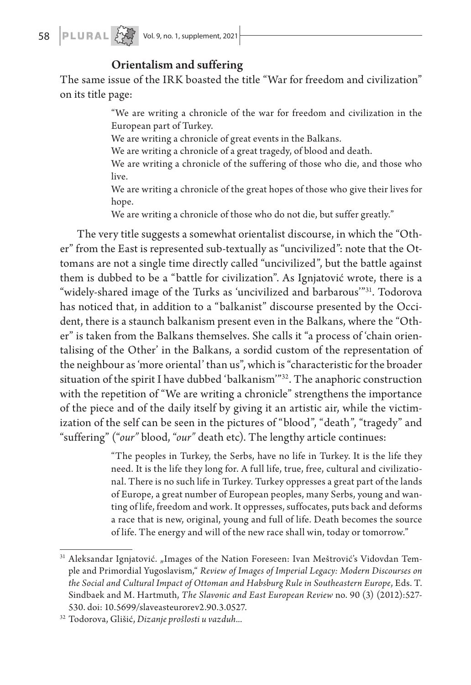### Orientalism and suffering

The same issue of the IRK boasted the title "War for freedom and civilization" on its title page:

> "We are writing a chronicle of the war for freedom and civilization in the European part of Turkey.

We are writing a chronicle of great events in the Balkans.

We are writing a chronicle of a great tragedy, of blood and death.

We are writing a chronicle of the suffering of those who die, and those who live.

We are writing a chronicle of the great hopes of those who give their lives for hope.

We are writing a chronicle of those who do not die, but suffer greatly."

The very title suggests a somewhat orientalist discourse, in which the "Other" from the East is represented sub-textually as "uncivilized": note that the Ottomans are not a single time directly called "uncivilized", but the battle against them is dubbed to be a "battle for civilization". As Ignjatović wrote, there is a "widely-shared image of the Turks as 'uncivilized and barbarous'"31. Todorova has noticed that, in addition to a "balkanist" discourse presented by the Occident, there is a staunch balkanism present even in the Balkans, where the "Other" is taken from the Balkans themselves. She calls it "a process of 'chain orientalising of the Other' in the Balkans, a sordid custom of the representation of the neighbour as 'more oriental' than us", which is "characteristic for the broader situation of the spirit I have dubbed 'balkanism'"32. The anaphoric construction with the repetition of "We are writing a chronicle" strengthens the importance of the piece and of the daily itself by giving it an artistic air, while the victimization of the self can be seen in the pictures of "blood", "death", "tragedy" and "suffering" ("*our"* blood, "*our"* death etc). The lengthy article continues:

> "The peoples in Turkey, the Serbs, have no life in Turkey. It is the life they need. It is the life they long for. A full life, true, free, cultural and civilizational. There is no such life in Turkey. Turkey oppresses a great part of the lands of Europe, a great number of European peoples, many Serbs, young and wanting of life, freedom and work. It oppresses, suffocates, puts back and deforms a race that is new, original, young and full of life. Death becomes the source of life. The energy and will of the new race shall win, today or tomorrow."

<sup>&</sup>lt;sup>31</sup> Aleksandar Ignjatović. "Images of the Nation Foreseen: Ivan Meštrović's Vidovdan Temple and Primordial Yugoslavism," *Review of Images of Imperial Legacy: Modern Discourses on the Social and Cultural Impact of Ottoman and Habsburg Rule in Southeastern Europe*, Eds. T. Sindbaek and M. Hartmuth, *The Slavonic and East European Review* no. 90 (3) (2012):527- 530. doi: 10.5699/slaveasteurorev2.90.3.0527.

<sup>32</sup> Todorova, Glišić, *Dizanje prošlosti u vazduh...*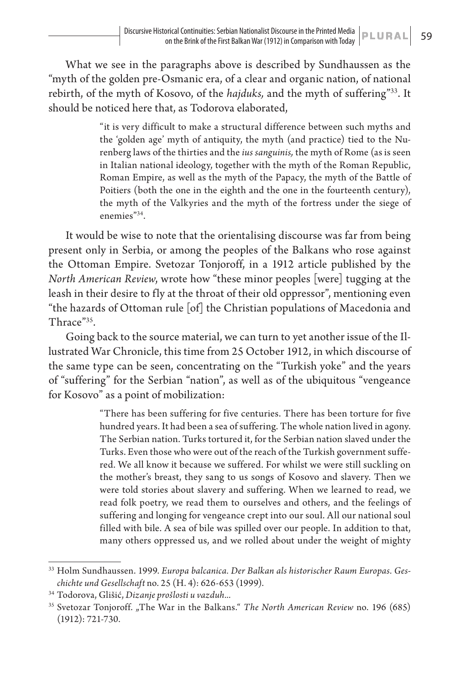What we see in the paragraphs above is described by Sundhaussen as the "myth of the golden pre-Osmanic era, of a clear and organic nation, of national rebirth, of the myth of Kosovo, of the *hajduks,* and the myth of suffering"33. It should be noticed here that, as Todorova elaborated,

> "it is very difficult to make a structural difference between such myths and the 'golden age' myth of antiquity, the myth (and practice) tied to the Nurenberg laws of the thirties and the *ius sanguinis,* the myth of Rome (as is seen in Italian national ideology, together with the myth of the Roman Republic, Roman Empire, as well as the myth of the Papacy, the myth of the Battle of Poitiers (both the one in the eighth and the one in the fourteenth century), the myth of the Valkyries and the myth of the fortress under the siege of enemies"34.

It would be wise to note that the orientalising discourse was far from being present only in Serbia, or among the peoples of the Balkans who rose against the Ottoman Empire. Svetozar Tonjoroff, in a 1912 article published by the *North American Review*, wrote how "these minor peoples [were] tugging at the leash in their desire to fly at the throat of their old oppressor", mentioning even "the hazards of Ottoman rule [of] the Christian populations of Macedonia and Thrace"35.

Going back to the source material, we can turn to yet another issue of the Illustrated War Chronicle, this time from 25 October 1912, in which discourse of the same type can be seen, concentrating on the "Turkish yoke" and the years of "suffering" for the Serbian "nation", as well as of the ubiquitous "vengeance for Kosovo" as a point of mobilization:

> "There has been suffering for five centuries. There has been torture for five hundred years. It had been a sea of suffering. The whole nation lived in agony. The Serbian nation. Turks tortured it, for the Serbian nation slaved under the Turks. Even those who were out of the reach of the Turkish government suffered. We all know it because we suffered. For whilst we were still suckling on the mother's breast, they sang to us songs of Kosovo and slavery. Then we were told stories about slavery and suffering. When we learned to read, we read folk poetry, we read them to ourselves and others, and the feelings of suffering and longing for vengeance crept into our soul. All our national soul filled with bile. A sea of bile was spilled over our people. In addition to that, many others oppressed us, and we rolled about under the weight of mighty

<sup>33</sup> Holm Sundhaussen. 1999. *Europa balcanica. Der Balkan als historischer Raum Europas. Geschichte und Gesellschaft* no. 25 (H. 4): 626-653 (1999).

<sup>34</sup> Todorova, Glišić, *Dizanje prošlosti u vazduh...*

<sup>&</sup>lt;sup>35</sup> Svetozar Tonjoroff. "The War in the Balkans." *The North American Review* no. 196 (685) (1912): 721-730.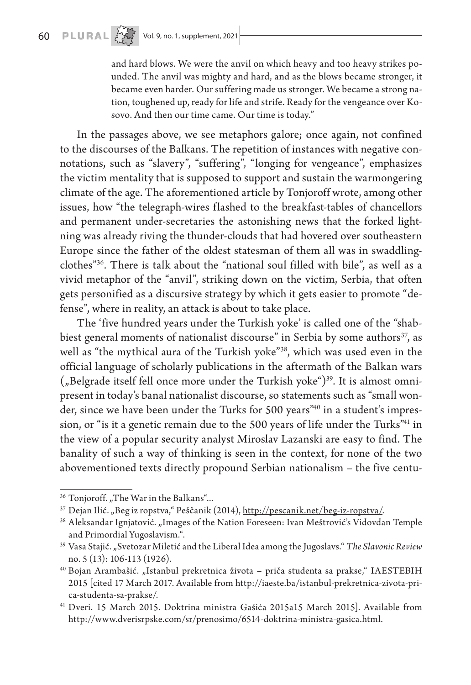and hard blows. We were the anvil on which heavy and too heavy strikes pounded. The anvil was mighty and hard, and as the blows became stronger, it became even harder. Our suffering made us stronger. We became a strong nation, toughened up, ready for life and strife. Ready for the vengeance over Kosovo. And then our time came. Our time is today."

In the passages above, we see metaphors galore; once again, not confined to the discourses of the Balkans. The repetition of instances with negative connotations, such as "slavery", "suffering", "longing for vengeance", emphasizes the victim mentality that is supposed to support and sustain the warmongering climate of the age. The aforementioned article by Tonjoroff wrote, among other issues, how "the telegraph-wires flashed to the breakfast-tables of chancellors and permanent under-secretaries the astonishing news that the forked lightning was already riving the thunder-clouds that had hovered over southeastern Europe since the father of the oldest statesman of them all was in swaddlingclothes"36. There is talk about the "national soul filled with bile", as well as a vivid metaphor of the "anvil", striking down on the victim, Serbia, that often gets personified as a discursive strategy by which it gets easier to promote "defense", where in reality, an attack is about to take place.

The 'five hundred years under the Turkish yoke' is called one of the "shabbiest general moments of nationalist discourse" in Serbia by some authors<sup>37</sup>, as well as "the mythical aura of the Turkish yoke"<sup>38</sup>, which was used even in the official language of scholarly publications in the aftermath of the Balkan wars  $($ "Belgrade itself fell once more under the Turkish yoke")<sup>39</sup>. It is almost omnipresent in today's banal nationalist discourse, so statements such as "small wonder, since we have been under the Turks for 500 years"40 in a student's impression, or "is it a genetic remain due to the 500 years of life under the Turks"<sup>41</sup> in the view of a popular security analyst Miroslav Lazanski are easy to find. The banality of such a way of thinking is seen in the context, for none of the two abovementioned texts directly propound Serbian nationalism – the five centu-

<sup>&</sup>lt;sup>36</sup> Tonjoroff. "The War in the Balkans"...

<sup>37</sup> Dejan Ilić. "Beg iz ropstva," Peščanik (2014), http://pescanik.net/beg-iz-ropstva/.

<sup>&</sup>lt;sup>38</sup> Aleksandar Ignjatović. "Images of the Nation Foreseen: Ivan Meštrović's Vidovdan Temple and Primordial Yugoslavism.".

<sup>39</sup> Vasa Stajić. "Svetozar Miletić and the Liberal Idea among the Jugoslavs." *The Slavonic Review*  no. 5 (13): 106-113 (1926).

<sup>&</sup>lt;sup>40</sup> Bojan Arambašić. "Istanbul prekretnica života – priča studenta sa prakse," IAESTEBIH 2015 [cited 17 March 2017. Available from http://iaeste.ba/istanbul-prekretnica-zivota-prica-studenta-sa-prakse/.

<sup>41</sup> Dveri. 15 March 2015. Doktrina ministra Gašića 2015a15 March 2015]. Available from http://www.dverisrpske.com/sr/prenosimo/6514-doktrina-ministra-gasica.html.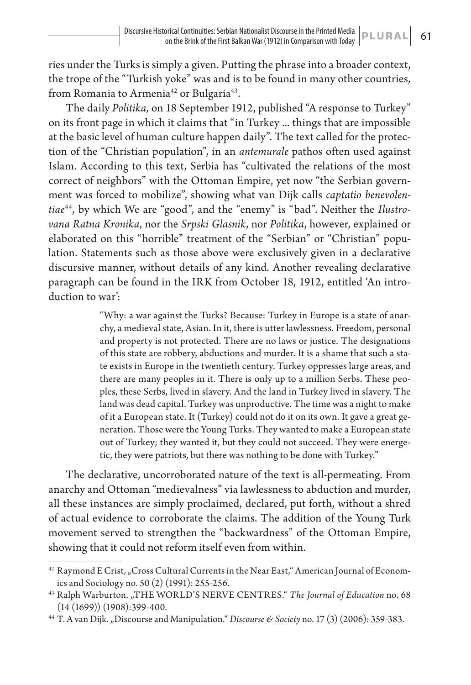ries under the Turks is simply a given. Putting the phrase into a broader context, the trope of the "Turkish yoke" was and is to be found in many other countries, from Romania to Armenia<sup>42</sup> or Bulgaria<sup>43</sup>.

The daily *Politika,* on 18 September 1912, published "A response to Turkey" on its front page in which it claims that "in Turkey ... things that are impossible at the basic level of human culture happen daily". The text called for the protection of the "Christian population", in an *antemurale* pathos often used against Islam. According to this text, Serbia has "cultivated the relations of the most correct of neighbors" with the Ottoman Empire, yet now "the Serbian government was forced to mobilize", showing what van Dijk calls *captatio benevolentiae*44*,* by which We are "good", and the "enemy" is "bad". Neither the *Ilustrovana Ratna Kronika*, nor the *Srpski Glasnik*, nor *Politika*, however, explained or elaborated on this "horrible" treatment of the "Serbian" or "Christian" population. Statements such as those above were exclusively given in a declarative discursive manner, without details of any kind. Another revealing declarative paragraph can be found in the IRK from October 18, 1912, entitled 'An introduction to war':

> "Why: a war against the Turks? Because: Turkey in Europe is a state of anarchy, a medieval state, Asian. In it, there is utter lawlessness. Freedom, personal and property is not protected. There are no laws or justice. The designations of this state are robbery, abductions and murder. It is a shame that such a state exists in Europe in the twentieth century. Turkey oppresses large areas, and there are many peoples in it. There is only up to a million Serbs. These peoples, these Serbs, lived in slavery. And the land in Turkey lived in slavery. The land was dead capital. Turkey was unproductive. The time was a night to make of it a European state. It (Turkey) could not do it on its own. It gave a great generation. Those were the Young Turks. They wanted to make a European state out of Turkey; they wanted it, but they could not succeed. They were energetic, they were patriots, but there was nothing to be done with Turkey."

The declarative, uncorroborated nature of the text is all-permeating. From anarchy and Ottoman "medievalness" via lawlessness to abduction and murder, all these instances are simply proclaimed, declared, put forth, without a shred of actual evidence to corroborate the claims. The addition of the Young Turk movement served to strengthen the "backwardness" of the Ottoman Empire, showing that it could not reform itself even from within.

 $42$  Raymond E Crist, "Cross Cultural Currents in the Near East," American Journal of Economics and Sociology no. 50 (2) (1991): 255-256.

<sup>&</sup>lt;sup>43</sup> Ralph Warburton. "THE WORLD'S NERVE CENTRES." The Journal of Education no. 68 (14 (1699)) (1908):399-400.

<sup>&</sup>lt;sup>44</sup> T. A van Dijk. "Discourse and Manipulation." *Discourse & Society* no. 17 (3) (2006): 359-383.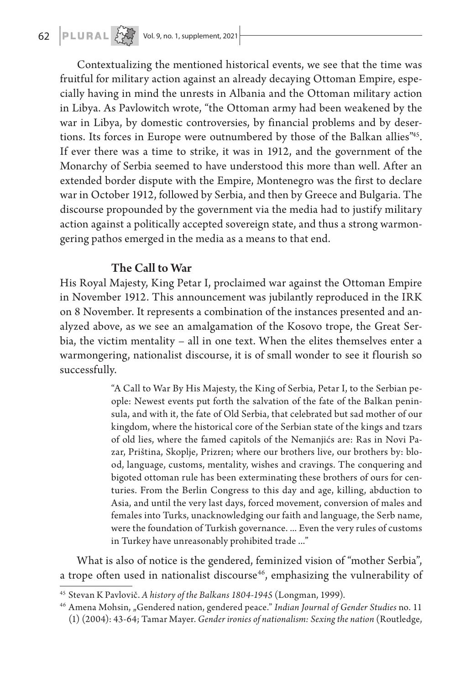Contextualizing the mentioned historical events, we see that the time was fruitful for military action against an already decaying Ottoman Empire, especially having in mind the unrests in Albania and the Ottoman military action in Libya. As Pavlowitch wrote, "the Ottoman army had been weakened by the war in Libya, by domestic controversies, by financial problems and by desertions. Its forces in Europe were outnumbered by those of the Balkan allies<sup>"45</sup>. If ever there was a time to strike, it was in 1912, and the government of the Monarchy of Serbia seemed to have understood this more than well. After an extended border dispute with the Empire, Montenegro was the first to declare war in October 1912, followed by Serbia, and then by Greece and Bulgaria. The discourse propounded by the government via the media had to justify military action against a politically accepted sovereign state, and thus a strong warmongering pathos emerged in the media as a means to that end.

# The Call to War

His Royal Majesty, King Petar I, proclaimed war against the Ottoman Empire in November 1912. This announcement was jubilantly reproduced in the IRK on 8 November. It represents a combination of the instances presented and analyzed above, as we see an amalgamation of the Kosovo trope, the Great Serbia, the victim mentality – all in one text. When the elites themselves enter a warmongering, nationalist discourse, it is of small wonder to see it flourish so successfully.

> "A Call to War By His Majesty, the King of Serbia, Petar I, to the Serbian people: Newest events put forth the salvation of the fate of the Balkan peninsula, and with it, the fate of Old Serbia, that celebrated but sad mother of our kingdom, where the historical core of the Serbian state of the kings and tzars of old lies, where the famed capitols of the Nemanjićs are: Ras in Novi Pazar, Priština, Skoplje, Prizren; where our brothers live, our brothers by: blood, language, customs, mentality, wishes and cravings. The conquering and bigoted ottoman rule has been exterminating these brothers of ours for centuries. From the Berlin Congress to this day and age, killing, abduction to Asia, and until the very last days, forced movement, conversion of males and females into Turks, unacknowledging our faith and language, the Serb name, were the foundation of Turkish governance. ... Even the very rules of customs in Turkey have unreasonably prohibited trade ..."

What is also of notice is the gendered, feminized vision of "mother Serbia", a trope often used in nationalist discourse<sup>46</sup>, emphasizing the vulnerability of

<sup>45</sup> Stevan K Pavlovič. *A history of the Balkans 1804-1945* (Longman, 1999).

<sup>&</sup>lt;sup>46</sup> Amena Mohsin, "Gendered nation, gendered peace." Indian Journal of Gender Studies no. 11 (1) (2004): 43-64; Tamar Mayer. *Gender ironies of nationalism: Sexing the nation* (Routledge,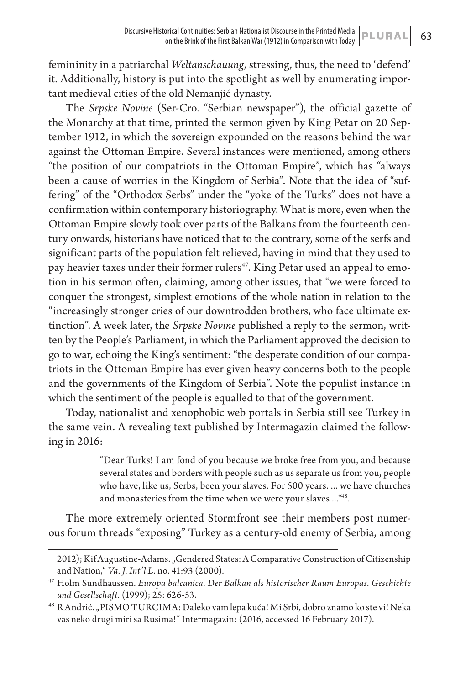femininity in a patriarchal *Weltanschauung,* stressing, thus, the need to 'defend' it. Additionally, history is put into the spotlight as well by enumerating important medieval cities of the old Nemanjić dynasty.

The *Srpske Novine* (Ser-Cro. "Serbian newspaper"), the official gazette of the Monarchy at that time, printed the sermon given by King Petar on 20 September 1912, in which the sovereign expounded on the reasons behind the war against the Ottoman Empire. Several instances were mentioned, among others "the position of our compatriots in the Ottoman Empire", which has "always been a cause of worries in the Kingdom of Serbia". Note that the idea of "suffering" of the "Orthodox Serbs" under the "yoke of the Turks" does not have a confirmation within contemporary historiography. What is more, even when the Ottoman Empire slowly took over parts of the Balkans from the fourteenth century onwards, historians have noticed that to the contrary, some of the serfs and significant parts of the population felt relieved, having in mind that they used to pay heavier taxes under their former rulers<sup>47</sup>. King Petar used an appeal to emotion in his sermon often, claiming, among other issues, that "we were forced to conquer the strongest, simplest emotions of the whole nation in relation to the "increasingly stronger cries of our downtrodden brothers, who face ultimate extinction". A week later, the *Srpske Novine* published a reply to the sermon, written by the People's Parliament, in which the Parliament approved the decision to go to war, echoing the King's sentiment: "the desperate condition of our compatriots in the Ottoman Empire has ever given heavy concerns both to the people and the governments of the Kingdom of Serbia". Note the populist instance in which the sentiment of the people is equalled to that of the government.

Today, nationalist and xenophobic web portals in Serbia still see Turkey in the same vein. A revealing text published by Intermagazin claimed the following in 2016:

> "Dear Turks! I am fond of you because we broke free from you, and because several states and borders with people such as us separate us from you, people who have, like us, Serbs, been your slaves. For 500 years. ... we have churches and monasteries from the time when we were your slaves ... "48.

The more extremely oriented Stormfront see their members post numerous forum threads "exposing" Turkey as a century-old enemy of Serbia, among

<sup>2012);</sup> Kif Augustine-Adams. "Gendered States: A Comparative Construction of Citizenship and Nation," *Va. J. Int'l L*. no. 41:93 (2000).

<sup>47</sup> Holm Sundhaussen. *Europa balcanica. Der Balkan als historischer Raum Europas. Geschichte und Gesellschaft.* (1999); 25: 626-53.

<sup>&</sup>lt;sup>48</sup> R Andrić. "PISMO TURCIMA: Daleko vam lepa kuća! Mi Srbi, dobro znamo ko ste vi! Neka vas neko drugi miri sa Rusima!" Intermagazin: (2016, accessed 16 February 2017).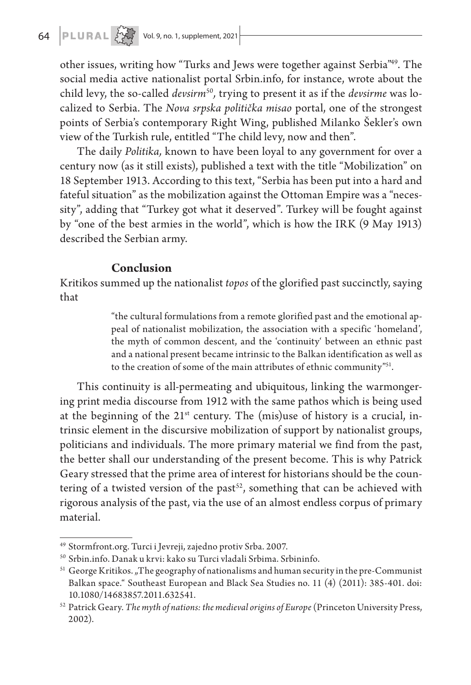other issues, writing how "Turks and Jews were together against Serbia"49. The social media active nationalist portal Srbin.info, for instance, wrote about the child levy, the so-called *devsirm*50*,* trying to present it as if the *devsirme* was localized to Serbia. The *Nova srpska politička misao* portal, one of the strongest points of Serbia's contemporary Right Wing, published Milanko Šekler's own view of the Turkish rule, entitled "The child levy, now and then".

The daily *Politika,* known to have been loyal to any government for over a century now (as it still exists), published a text with the title "Mobilization" on 18 September 1913. According to this text, "Serbia has been put into a hard and fateful situation" as the mobilization against the Ottoman Empire was a "necessity", adding that "Turkey got what it deserved". Turkey will be fought against by "one of the best armies in the world", which is how the IRK (9 May 1913) described the Serbian army.

# **Conclusion**

Kritikos summed up the nationalist *topos* of the glorified past succinctly, saying that

> "the cultural formulations from a remote glorified past and the emotional appeal of nationalist mobilization, the association with a specific 'homeland', the myth of common descent, and the 'continuity' between an ethnic past and a national present became intrinsic to the Balkan identification as well as to the creation of some of the main attributes of ethnic community"<sup>51</sup>.

This continuity is all-permeating and ubiquitous, linking the warmongering print media discourse from 1912 with the same pathos which is being used at the beginning of the  $21<sup>st</sup>$  century. The (mis)use of history is a crucial, intrinsic element in the discursive mobilization of support by nationalist groups, politicians and individuals. The more primary material we find from the past, the better shall our understanding of the present become. This is why Patrick Geary stressed that the prime area of interest for historians should be the countering of a twisted version of the past<sup>52</sup>, something that can be achieved with rigorous analysis of the past, via the use of an almost endless corpus of primary material.

<sup>49</sup> Stormfront.org. Turci i Jevreji, zajedno protiv Srba. 2007.

<sup>50</sup> Srbin.info. Danak u krvi: kako su Turci vladali Srbima. Srbininfo.

 $51$  George Kritikos. "The geography of nationalisms and human security in the pre-Communist Balkan space." Southeast European and Black Sea Studies no. 11 (4) (2011): 385-401. doi: 10.1080/14683857.2011.632541.

<sup>52</sup> Patrick Geary. *The myth of nations: the medieval origins of Europe* (Princeton University Press, 2002).